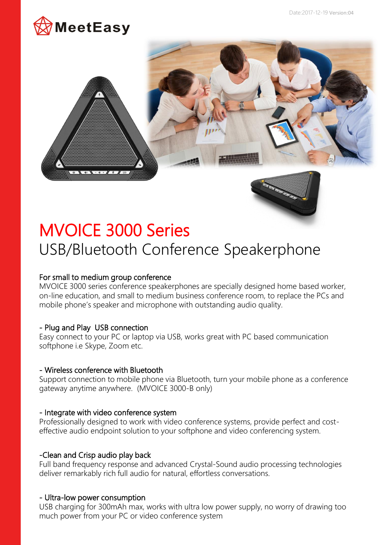





# MVOICE 3000 Series USB/Bluetooth Conference Speakerphone

## For small to medium group conference

MVOICE 3000 series conference speakerphones are specially designed home based worker, on-line education, and small to medium business conference room, to replace the PCs and mobile phone's speaker and microphone with outstanding audio quality.

## - Plug and Play USB connection

Easy connect to your PC or laptop via USB, works great with PC based communication softphone i.e Skype, Zoom etc.

## - Wireless conference with Bluetooth

Support connection to mobile phone via Bluetooth, turn your mobile phone as a conference gateway anytime anywhere. (MVOICE 3000-B only)

## - Integrate with video conference system

Professionally designed to work with video conference systems, provide perfect and costeffective audio endpoint solution to your softphone and video conferencing system.

## -Clean and Crisp audio play back

Full band frequency response and advanced Crystal-Sound audio processing technologies deliver remarkably rich full audio for natural, effortless conversations.

## - Ultra-low power consumption

USB charging for 300mAh max, works with ultra low power supply, no worry of drawing too much power from your PC or video conference system